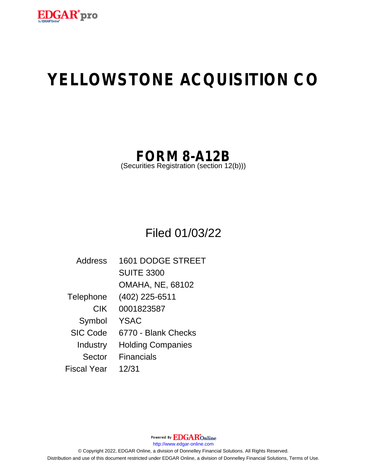

# **YELLOWSTONE ACQUISITION CO**

## **FORM 8-A12B**

(Securities Registration (section 12(b)))

Filed 01/03/22

| Address         | 1601 DODGE STREET        |
|-----------------|--------------------------|
|                 | <b>SUITE 3300</b>        |
|                 | <b>OMAHA, NE, 68102</b>  |
| Telephone       | (402) 225-6511           |
| <b>CIK</b>      | 0001823587               |
| Symbol          | <b>YSAC</b>              |
| <b>SIC Code</b> | 6770 - Blank Checks      |
| Industry        | <b>Holding Companies</b> |
| Sector          | <b>Financials</b>        |
| Fiscal Year     | 12/31                    |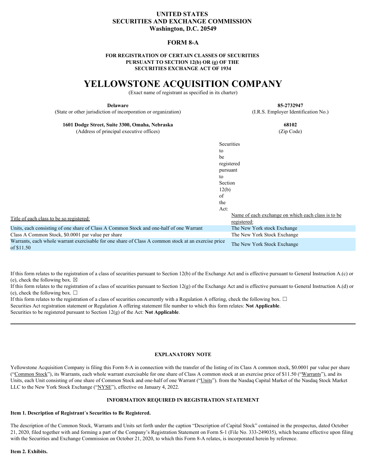## **UNITED STATES SECURITIES AND EXCHANGE COMMISSION Washington, D.C. 20549**

## **FORM 8-A**

### **FOR REGISTRATION OF CERTAIN CLASSES OF SECURITIES PURSUANT TO SECTION 12(b) OR (g) OF THE SECURITIES EXCHANGE ACT OF 1934**

## **YELLOWSTONE ACQUISITION COMPANY**

(Exact name of registrant as specified in its charter)

(State or other jurisdiction of incorporation or organization) (I.R.S. Employer Identification No.)

**Delaware 85-2732947**

**1601 Dodge Street, Suite 3300, Omaha, Nebraska 68102**

(Address of principal executive offices) (Zip Code)

| $(1.1992)$ or principal encounts of $(1.1992)$                                                                    | $($ - $\mu$ $\sim$ $\sim$ $\sim$ ,                 |
|-------------------------------------------------------------------------------------------------------------------|----------------------------------------------------|
|                                                                                                                   | Securities                                         |
| to                                                                                                                |                                                    |
| be                                                                                                                |                                                    |
|                                                                                                                   | registered                                         |
|                                                                                                                   | pursuant                                           |
| to                                                                                                                |                                                    |
|                                                                                                                   | Section                                            |
|                                                                                                                   | 12(b)                                              |
| 0ſ                                                                                                                |                                                    |
| the                                                                                                               |                                                    |
| Act:                                                                                                              |                                                    |
| Title of each class to be so registered:                                                                          | Name of each exchange on which each class is to be |
|                                                                                                                   | registered:                                        |
| Units, each consisting of one share of Class A Common Stock and one-half of one Warrant                           | The New York stock Exchange                        |
| Class A Common Stock, \$0.0001 par value per share                                                                | The New York Stock Exchange                        |
| Warrants, each whole warrant exercisable for one share of Class A common stock at an exercise price<br>of \$11.50 | The New York Stock Exchange                        |

If this form relates to the registration of a class of securities pursuant to Section 12(b) of the Exchange Act and is effective pursuant to General Instruction A.(c) or (e), check the following box.  $\boxtimes$ 

If this form relates to the registration of a class of securities pursuant to Section 12(g) of the Exchange Act and is effective pursuant to General Instruction A.(d) or (e), check the following box.  $\Box$ 

If this form relates to the registration of a class of securities concurrently with a Regulation A offering, check the following box.  $\Box$ Securities Act registration statement or Regulation A offering statement file number to which this form relates: **Not Applicable**.

Securities to be registered pursuant to Section 12(g) of the Act: **Not Applicable**.

## **EXPLANATORY NOTE**

Yellowstone Acquisition Company is filing this Form 8-A in connection with the transfer of the listing of its Class A common stock, \$0.0001 par value per share ("Common Stock"), its Warrants, each whole warrant exercisable for one share of Class A common stock at an exercise price of \$11.50 ("Warrants"), and its Units, each Unit consisting of one share of Common Stock and one-half of one Warrant ("Units"). from the Nasdaq Capital Market of the Nasdaq Stock Market LLC to the New York Stock Exchange ("NYSE"), effective on January 4, 2022.

## **INFORMATION REQUIRED IN REGISTRATION STATEMENT**

#### **Item 1. Description of Registrant**'**s Securities to Be Registered.**

The description of the Common Stock, Warrants and Units set forth under the caption "Description of Capital Stock" contained in the prospectus, dated October 21, 2020, filed together with and forming a part of the Company's Registration Statement on Form S-1 (File No. 333-249035), which became effective upon filing with the Securities and Exchange Commission on October 21, 2020, to which this Form 8-A relates, is incorporated herein by reference.